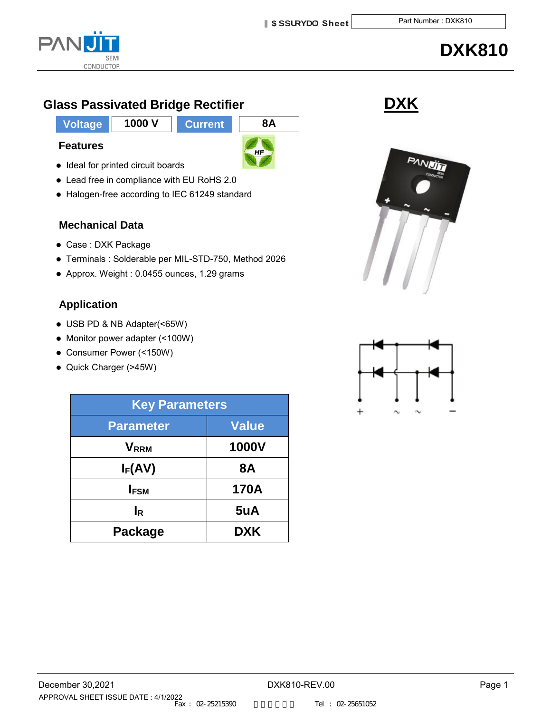

# **DXK810**

# **Glass Passivated Bridge Rectifier <b>by State State State State State State State State State State State State State State State State State State State State State State State State State State State State State State Sta**

**Voltage 1000 V Current 8A**

**Features**

- $HF$
- Lead free in compliance with EU RoHS 2.0

• Ideal for printed circuit boards

Halogen-free according to IEC 61249 standard

### **Mechanical Data**

- Case : DXK Package
- Terminals : Solderable per MIL-STD-750, Method 2026
- Approx. Weight : 0.0455 ounces, 1.29 grams

## **Application**

- USB PD & NB Adapter(<65W)
- Monitor power adapter (<100W)
- Consumer Power (<150W)
- Quick Charger (>45W)

| <b>Key Parameters</b>   |              |  |  |
|-------------------------|--------------|--|--|
| <b>Parameter</b>        | Value        |  |  |
| <b>V</b> <sub>RRM</sub> | <b>1000V</b> |  |  |
| $I_F(AV)$               | <b>8A</b>    |  |  |
| <b>IFSM</b>             | <b>170A</b>  |  |  |
| <b>I</b> R              | 5uA          |  |  |
| <b>Package</b>          | <b>DXK</b>   |  |  |



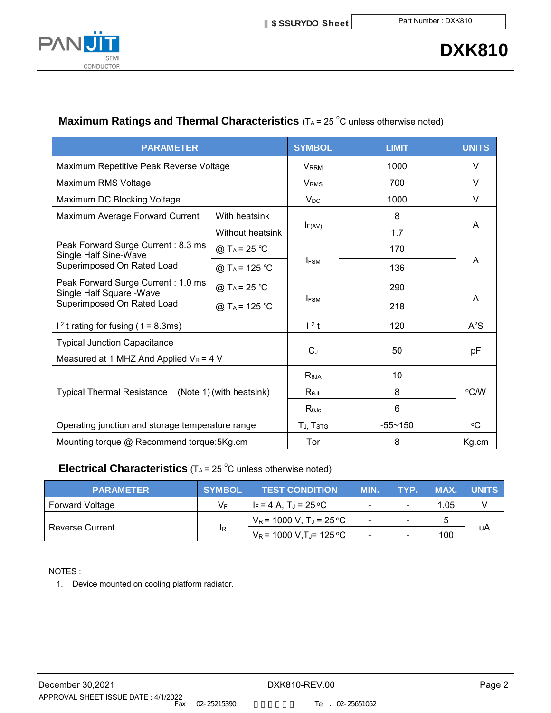

## **Maximum Ratings and Thermal Characteristics** (TA= 25 °C unless otherwise noted)

| <b>PARAMETER</b>                                                                 |                           | <b>SYMBOL</b>           | <b>LIMIT</b> | <b>UNITS</b> |  |
|----------------------------------------------------------------------------------|---------------------------|-------------------------|--------------|--------------|--|
| Maximum Repetitive Peak Reverse Voltage                                          |                           | <b>VRRM</b>             | 1000         | V            |  |
| Maximum RMS Voltage                                                              |                           | <b>V</b> <sub>RMS</sub> | 700          | V            |  |
| Maximum DC Blocking Voltage                                                      |                           | <b>V<sub>DC</sub></b>   | 1000         | V            |  |
| Maximum Average Forward Current                                                  | With heatsink             |                         | 8            |              |  |
|                                                                                  | <b>Without heatsink</b>   | F(AV)                   | 1.7          | A            |  |
| Peak Forward Surge Current: 8.3 ms<br>Single Half Sine-Wave                      | @ T <sub>A</sub> = 25 °C  |                         | 170          | A            |  |
| Superimposed On Rated Load                                                       | @ T <sub>A</sub> = 125 °C | <b>IFSM</b>             | 136          |              |  |
| Peak Forward Surge Current: 1.0 ms<br>Single Half Square - Wave                  | @ T <sub>A</sub> = 25 °C  |                         | 290          | A            |  |
| Superimposed On Rated Load                                                       | @ T <sub>A</sub> = 125 °C | <b>IFSM</b>             | 218          |              |  |
| $12$ t rating for fusing ( t = 8.3ms)                                            | $12$ t                    | 120                     | $A^2S$       |              |  |
| <b>Typical Junction Capacitance</b><br>Measured at 1 MHZ And Applied $V_R$ = 4 V |                           | $C_J$                   | 50           | pF           |  |
|                                                                                  | $R_{\theta JA}$           | 10                      | °C/W         |              |  |
| Typical Thermal Resistance (Note 1) (with heatsink)                              | Re.ii                     | 8                       |              |              |  |
|                                                                                  |                           | Rejc                    | 6            |              |  |
| Operating junction and storage temperature range                                 |                           | TJ, TSTG                | $-55 - 150$  | °C           |  |
| Mounting torque @ Recommend torque:5Kg.cm                                        |                           | Tor                     | 8            | Kg.cm        |  |

### **Electrical Characteristics** (TA = 25 °C unless otherwise noted)

| <b>PARAMETER</b>       | <b>SYMBOL</b> | <b>TEST CONDITION</b>                  | MIN.                     | <b>TYP.</b> | MAX. | <b>UNITS</b> |
|------------------------|---------------|----------------------------------------|--------------------------|-------------|------|--------------|
| <b>Forward Voltage</b> | V⊧            | IF = 4 A. T. = 25 °C                   |                          |             | 1.05 |              |
| <b>Reverse Current</b> | IR.           | $V_R$ = 1000 V, T <sub>J</sub> = 25 °C | $\overline{\phantom{0}}$ |             |      |              |
|                        |               | $V_R$ = 1000 V,TJ= 125 °C              |                          |             | 100  | uA           |

NOTES :

1. Device mounted on cooling platform radiator.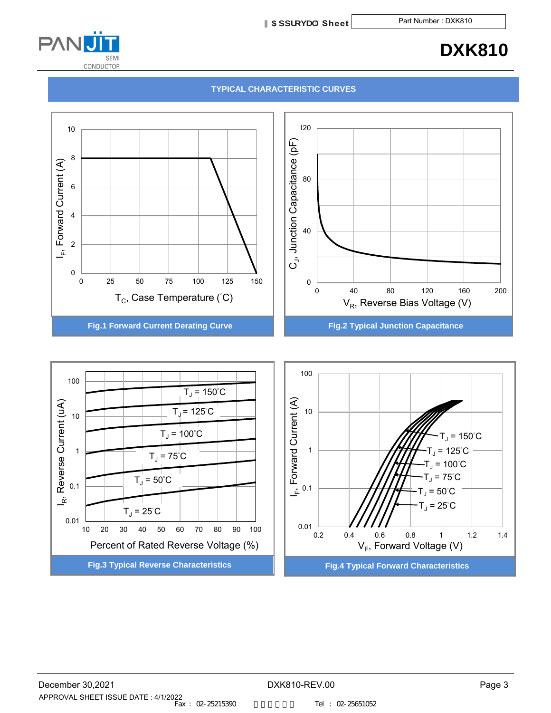**5 ddfcj U Sheet** Part Number : DXK810



# **DXK810**

#### **TYPICAL CHARACTERISTIC CURVES**



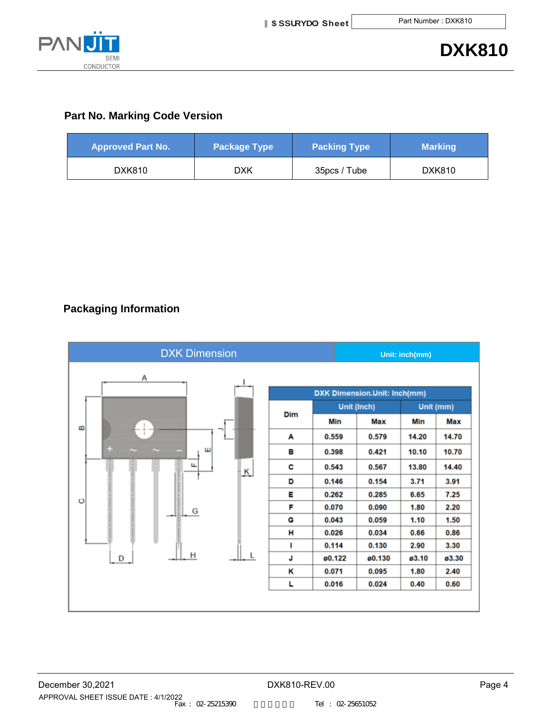

#### **Part No. Marking Code Version**

| <b>Approved Part No.</b> | <b>Package Type</b> | <b>Packing Type</b> | <b>Marking</b> |
|--------------------------|---------------------|---------------------|----------------|
| DXK810                   | DXK                 | 35pcs / Tube        | DXK810         |

### **Packaging Information**